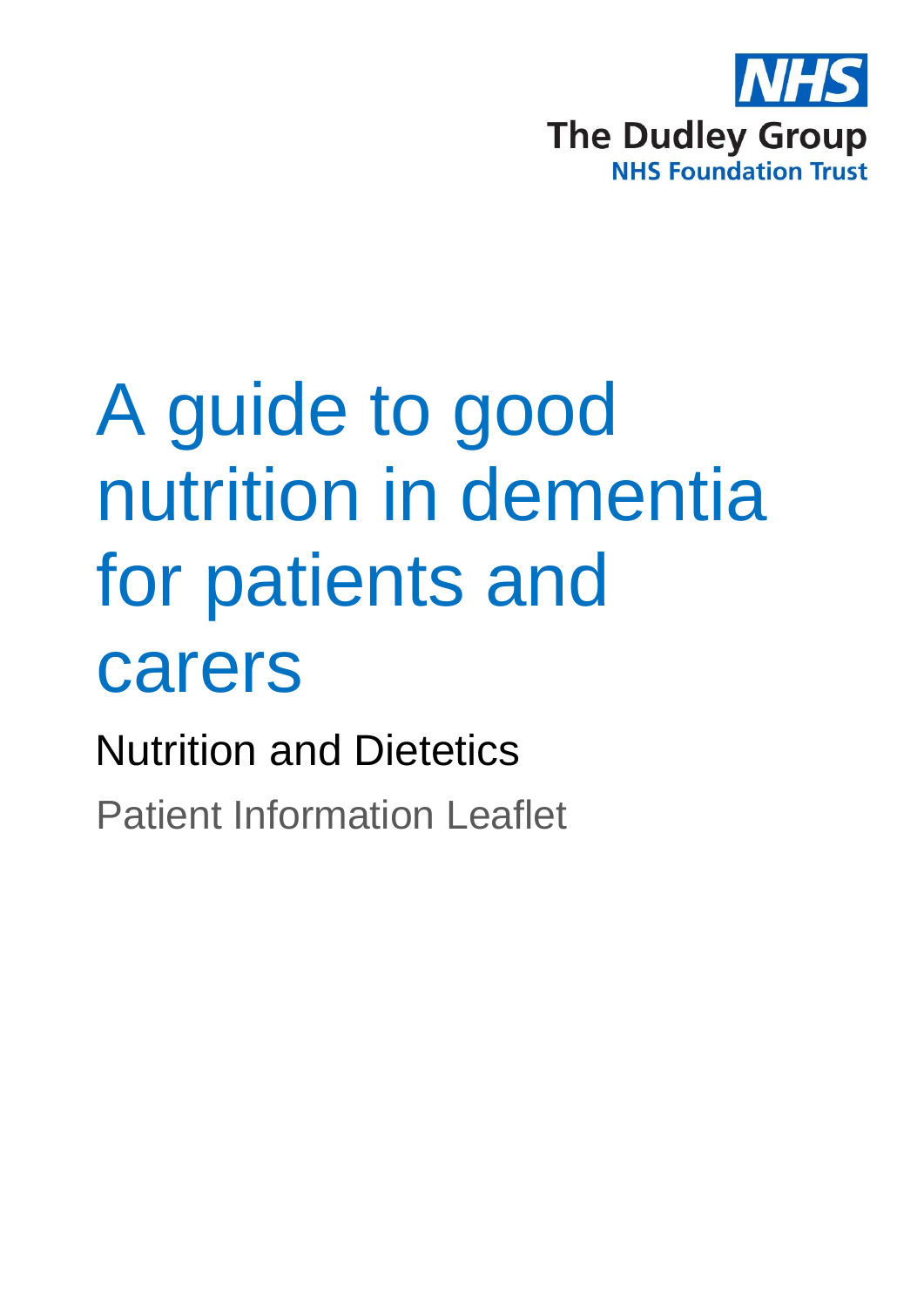

# A guide to good nutrition in dementia for patients and carers

Nutrition and Dietetics

Patient Information Leaflet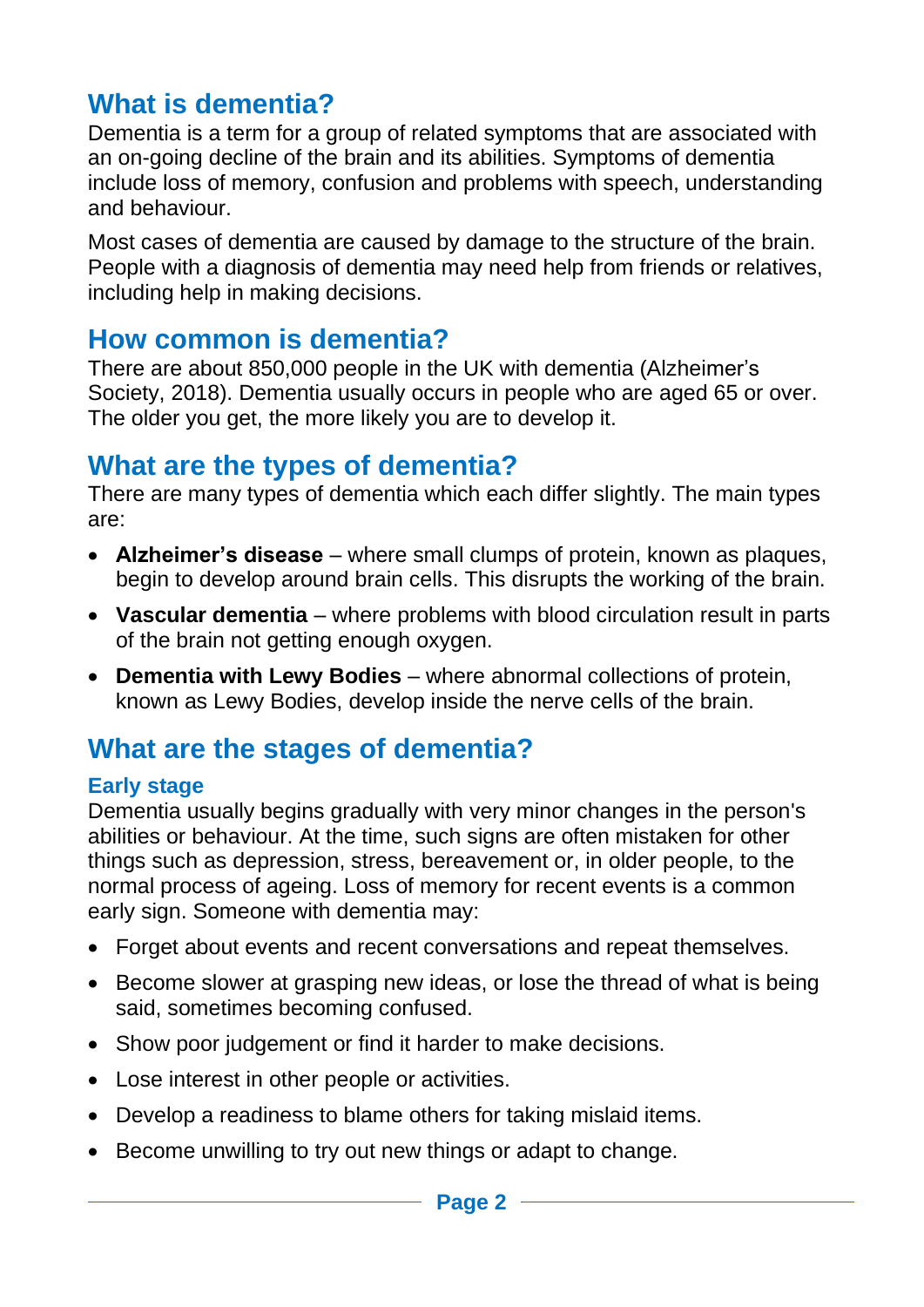# **What is dementia?**

Dementia is a term for a group of related symptoms that are associated with an on-going decline of the brain and its abilities. Symptoms of dementia include loss of memory, confusion and problems with speech, understanding and behaviour.

Most cases of dementia are caused by damage to the structure of the brain. People with a diagnosis of dementia may need help from friends or relatives, including help in making decisions.

#### **How common is dementia?**

There are about 850,000 people in the UK with dementia (Alzheimer's Society, 2018). Dementia usually occurs in people who are aged 65 or over. The older you get, the more likely you are to develop it.

#### **What are the types of dementia?**

There are many types of dementia which each differ slightly. The main types are:

- **Alzheimer's disease** where small clumps of protein, known as plaques, begin to develop around brain cells. This disrupts the working of the brain.
- **Vascular dementia**  where problems with blood circulation result in parts of the brain not getting enough oxygen.
- **Dementia with Lewy Bodies**  where abnormal collections of protein, known as Lewy Bodies, develop inside the nerve cells of the brain.

# **What are the stages of dementia?**

#### **Early stage**

Dementia usually begins gradually with very minor changes in the person's abilities or behaviour. At the time, such signs are often mistaken for other things such as depression, stress, bereavement or, in older people, to the normal process of ageing. Loss of memory for recent events is a common early sign. Someone with dementia may:

- Forget about events and recent conversations and repeat themselves.
- Become slower at grasping new ideas, or lose the thread of what is being said, sometimes becoming confused.
- Show poor judgement or find it harder to make decisions.
- Lose interest in other people or activities.
- Develop a readiness to blame others for taking mislaid items.
- Become unwilling to try out new things or adapt to change.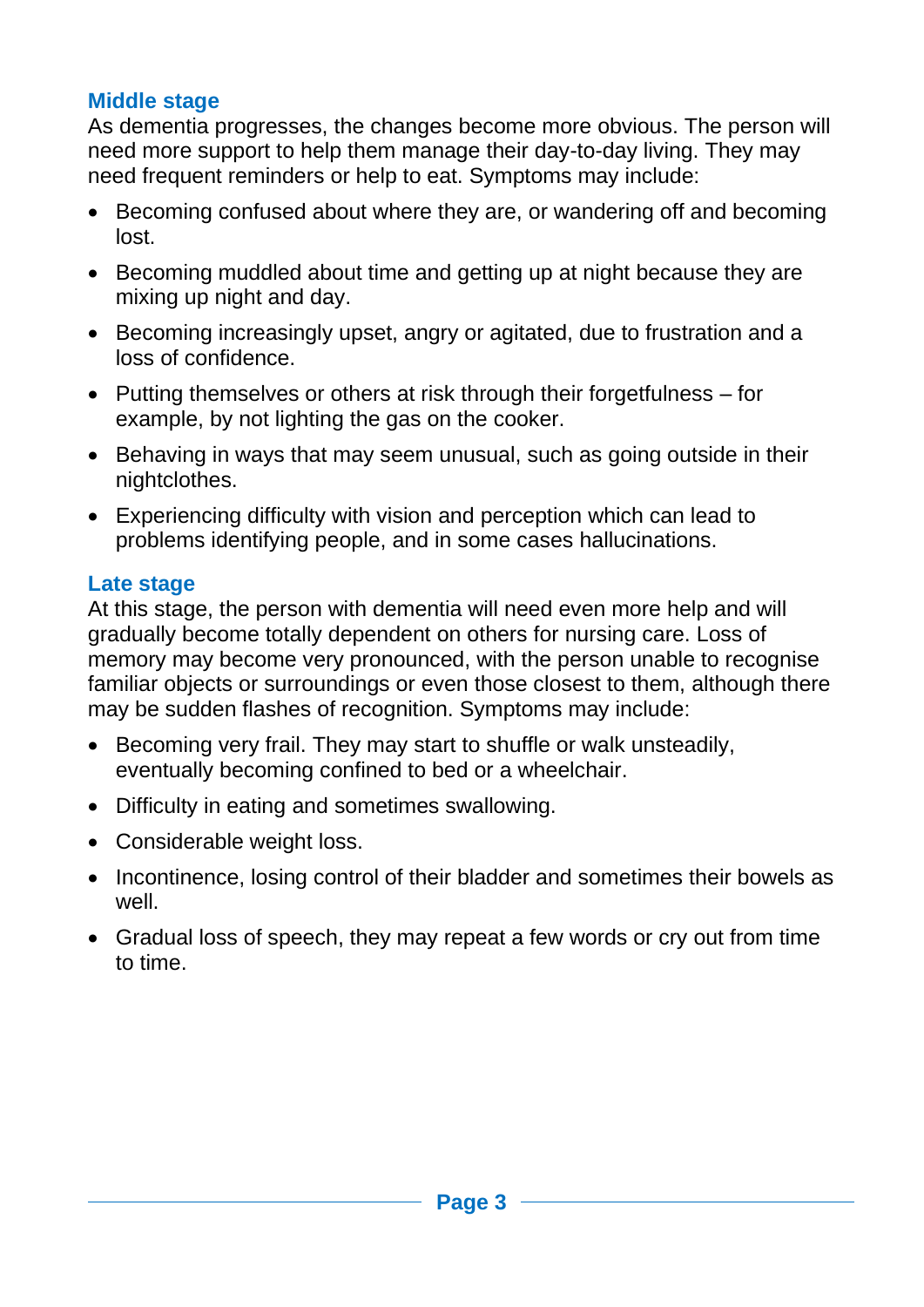#### **Middle stage**

As dementia progresses, the changes become more obvious. The person will need more support to help them manage their day-to-day living. They may need frequent reminders or help to eat. Symptoms may include:

- Becoming confused about where they are, or wandering off and becoming lost.
- Becoming muddled about time and getting up at night because they are mixing up night and day.
- Becoming increasingly upset, angry or agitated, due to frustration and a loss of confidence.
- Putting themselves or others at risk through their forgetfulness for example, by not lighting the gas on the cooker.
- Behaving in ways that may seem unusual, such as going outside in their nightclothes.
- Experiencing difficulty with vision and perception which can lead to problems identifying people, and in some cases hallucinations.

#### **Late stage**

At this stage, the person with dementia will need even more help and will gradually become totally dependent on others for nursing care. Loss of memory may become very pronounced, with the person unable to recognise familiar objects or surroundings or even those closest to them, although there may be sudden flashes of recognition. Symptoms may include:

- Becoming very frail. They may start to shuffle or walk unsteadily, eventually becoming confined to bed or a wheelchair.
- Difficulty in eating and sometimes swallowing.
- Considerable weight loss.
- Incontinence, losing control of their bladder and sometimes their bowels as well.
- Gradual loss of speech, they may repeat a few words or cry out from time to time.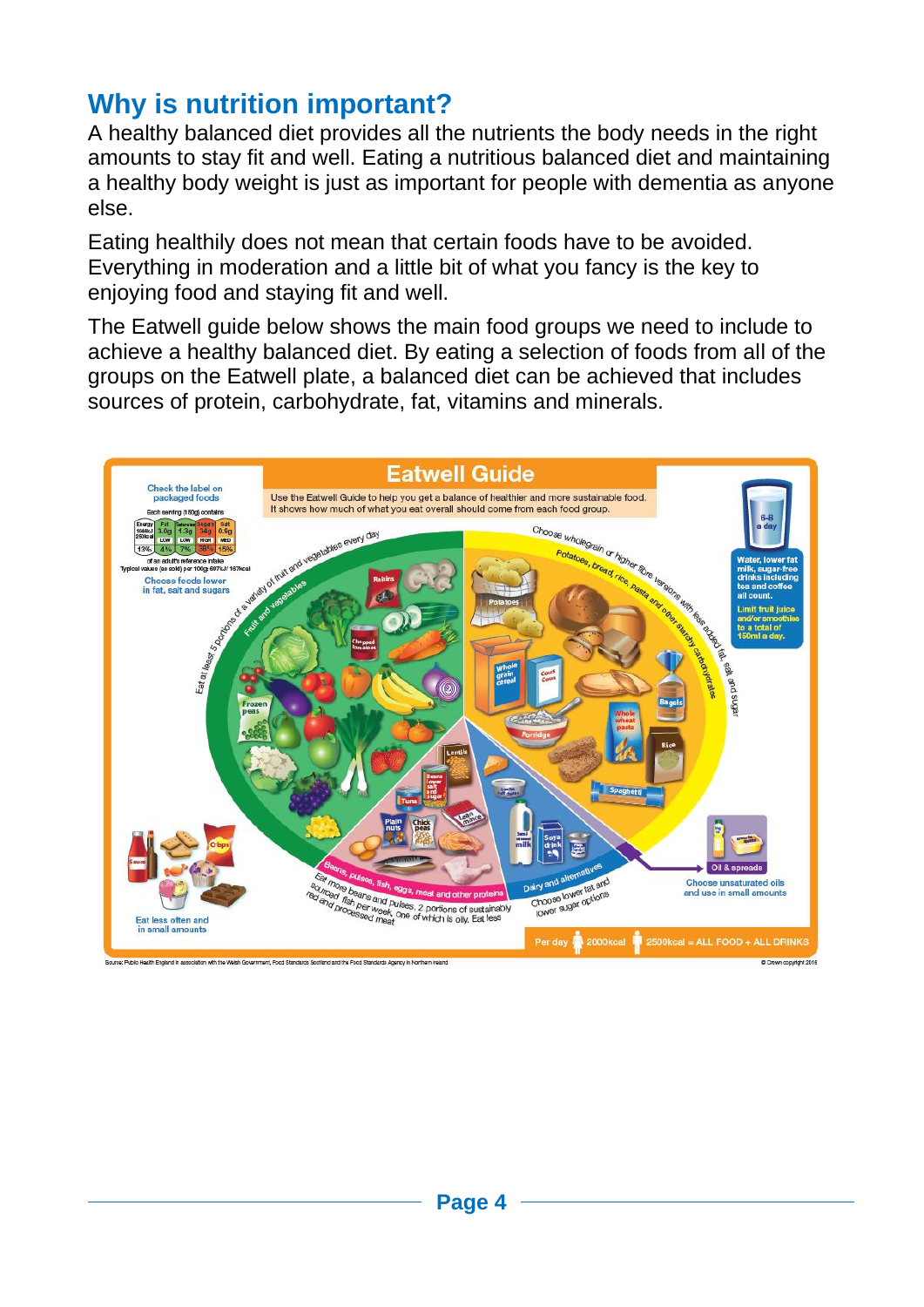# **Why is nutrition important?**

A healthy balanced diet provides all the nutrients the body needs in the right amounts to stay fit and well. Eating a nutritious balanced diet and maintaining a healthy body weight is just as important for people with dementia as anyone else.

Eating healthily does not mean that certain foods have to be avoided. Everything in moderation and a little bit of what you fancy is the key to enjoying food and staying fit and well.

The Eatwell guide below shows the main food groups we need to include to achieve a healthy balanced diet. By eating a selection of foods from all of the groups on the Eatwell plate, a balanced diet can be achieved that includes sources of protein, carbohydrate, fat, vitamins and minerals.

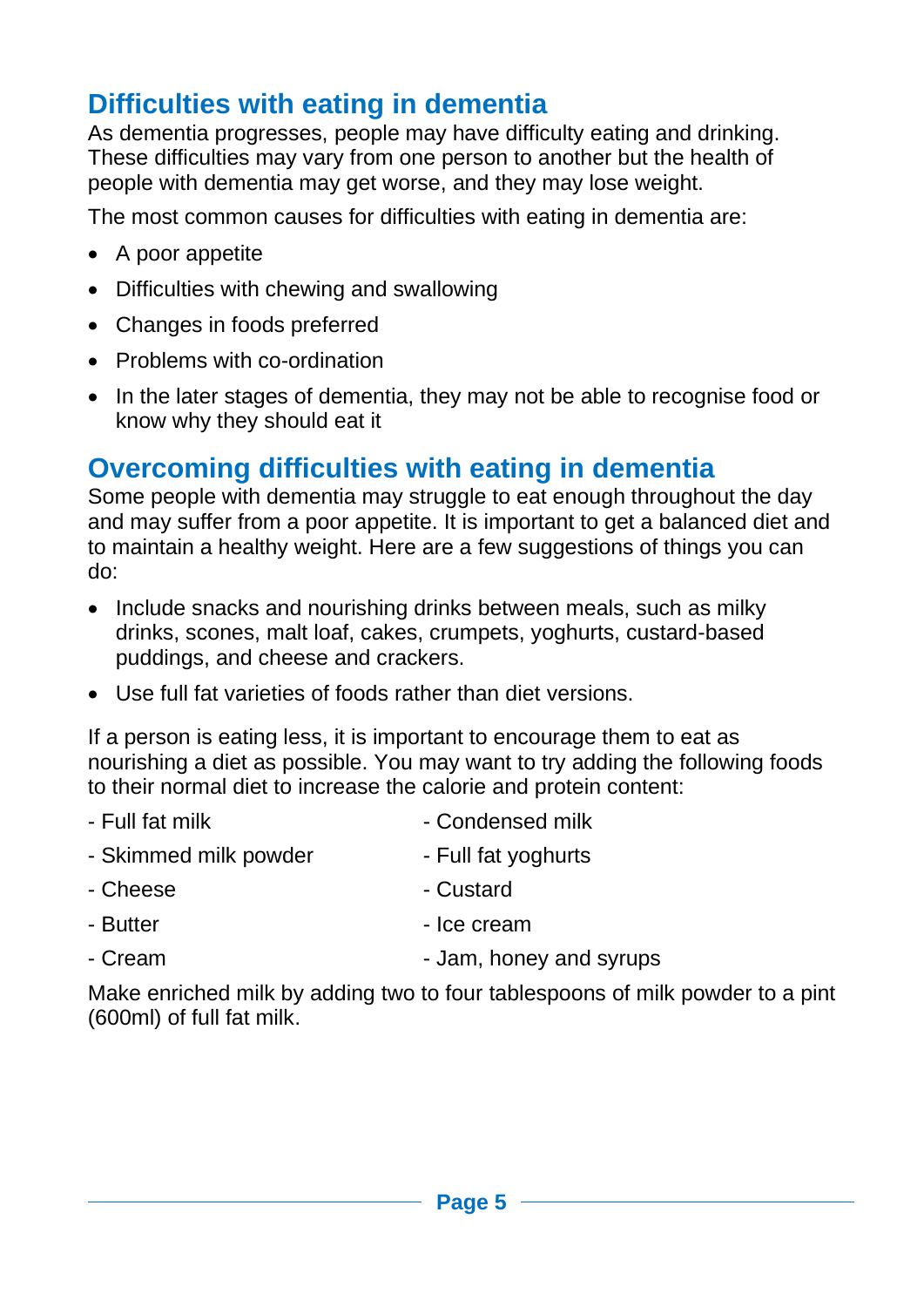# **Difficulties with eating in dementia**

As dementia progresses, people may have difficulty eating and drinking. These difficulties may vary from one person to another but the health of people with dementia may get worse, and they may lose weight.

The most common causes for difficulties with eating in dementia are:

- A poor appetite
- Difficulties with chewing and swallowing
- Changes in foods preferred
- Problems with co-ordination
- In the later stages of dementia, they may not be able to recognise food or know why they should eat it

### **Overcoming difficulties with eating in dementia**

Some people with dementia may struggle to eat enough throughout the day and may suffer from a poor appetite. It is important to get a balanced diet and to maintain a healthy weight. Here are a few suggestions of things you can do:

- Include snacks and nourishing drinks between meals, such as milky drinks, scones, malt loaf, cakes, crumpets, yoghurts, custard-based puddings, and cheese and crackers.
- Use full fat varieties of foods rather than diet versions.

If a person is eating less, it is important to encourage them to eat as nourishing a diet as possible. You may want to try adding the following foods to their normal diet to increase the calorie and protein content:

- Full fat milk  $\sim$  Condensed milk
- Skimmed milk powder Full fat yoghurts
- Cheese Custard
- Butter experience of the Ice cream
- Cream  $\sim$  Jam, honey and syrups

Make enriched milk by adding two to four tablespoons of milk powder to a pint (600ml) of full fat milk.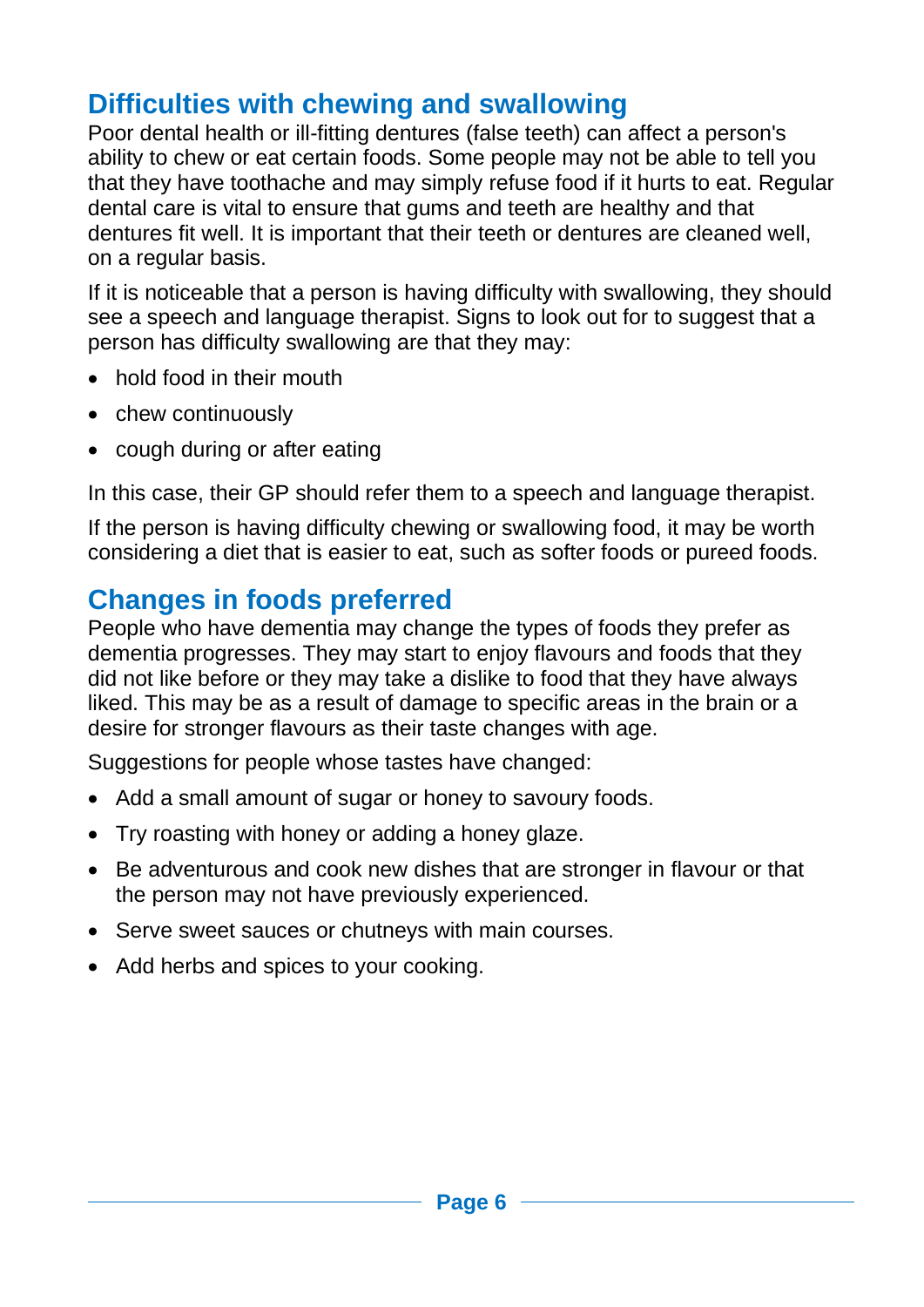# **Difficulties with chewing and swallowing**

Poor dental health or ill-fitting dentures (false teeth) can affect a person's ability to chew or eat certain foods. Some people may not be able to tell you that they have toothache and may simply refuse food if it hurts to eat. Regular dental care is vital to ensure that gums and teeth are healthy and that dentures fit well. It is important that their teeth or dentures are cleaned well, on a regular basis.

If it is noticeable that a person is having difficulty with swallowing, they should see a speech and language therapist. Signs to look out for to suggest that a person has difficulty swallowing are that they may:

- hold food in their mouth
- chew continuously
- cough during or after eating

In this case, their GP should refer them to a speech and language therapist.

If the person is having difficulty chewing or swallowing food, it may be worth considering a diet that is easier to eat, such as softer foods or pureed foods.

# **Changes in foods preferred**

People who have dementia may change the types of foods they prefer as dementia progresses. They may start to enjoy flavours and foods that they did not like before or they may take a dislike to food that they have always liked. This may be as a result of damage to specific areas in the brain or a desire for stronger flavours as their taste changes with age.

Suggestions for people whose tastes have changed:

- Add a small amount of sugar or honey to savoury foods.
- Try roasting with honey or adding a honey glaze.
- Be adventurous and cook new dishes that are stronger in flavour or that the person may not have previously experienced.
- Serve sweet sauces or chutneys with main courses.
- Add herbs and spices to your cooking.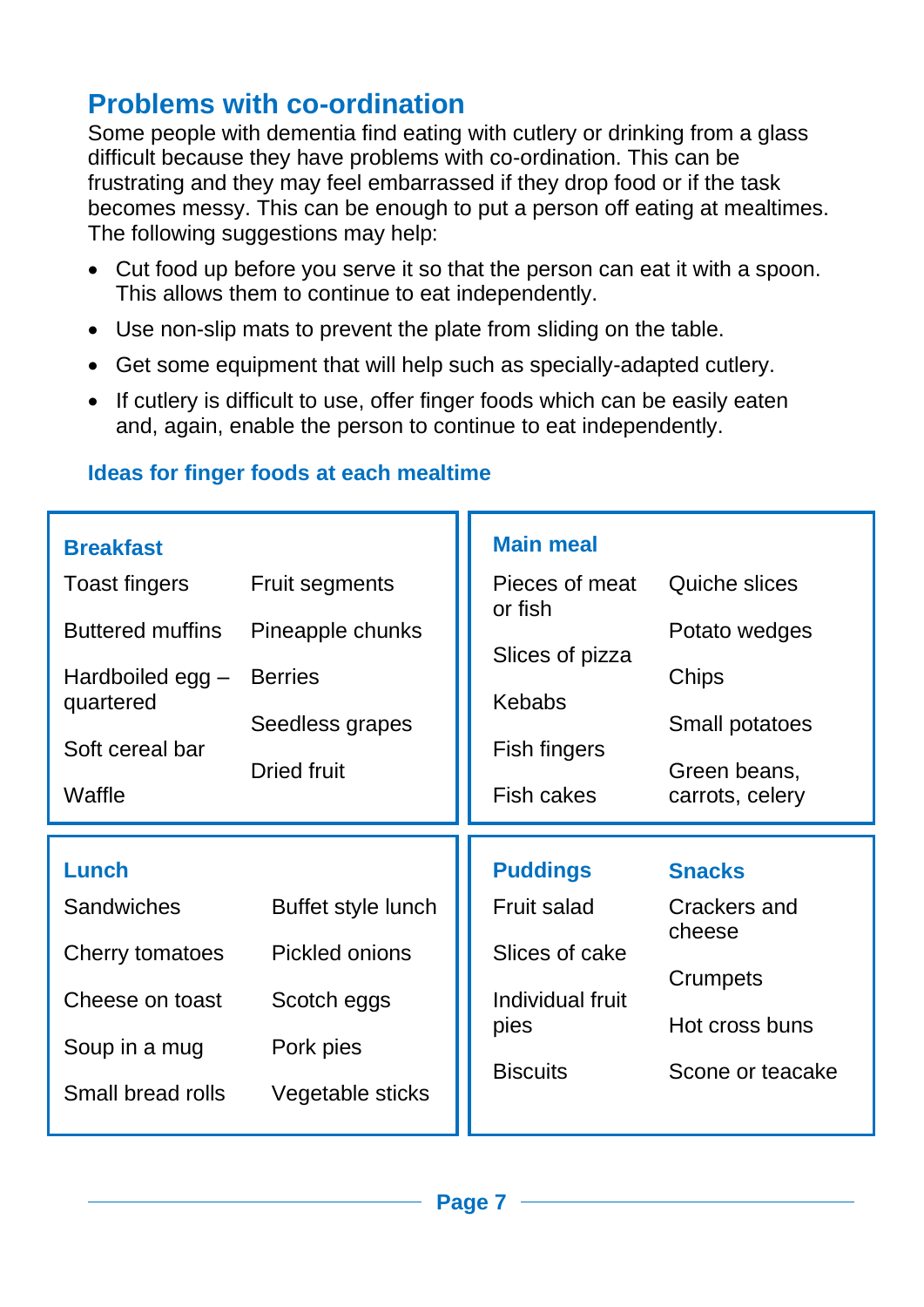## **Problems with co-ordination**

Some people with dementia find eating with cutlery or drinking from a glass difficult because they have problems with co-ordination. This can be frustrating and they may feel embarrassed if they drop food or if the task becomes messy. This can be enough to put a person off eating at mealtimes. The following suggestions may help:

- Cut food up before you serve it so that the person can eat it with a spoon. This allows them to continue to eat independently.
- Use non-slip mats to prevent the plate from sliding on the table.
- Get some equipment that will help such as specially-adapted cutlery.
- If cutlery is difficult to use, offer finger foods which can be easily eaten and, again, enable the person to continue to eat independently.

#### **Ideas for finger foods at each mealtime**

| <b>Breakfast</b>              |                       | <b>Main meal</b>          |                                    |
|-------------------------------|-----------------------|---------------------------|------------------------------------|
| <b>Toast fingers</b>          | <b>Fruit segments</b> | Pieces of meat<br>or fish | Quiche slices                      |
| <b>Buttered muffins</b>       | Pineapple chunks      | Slices of pizza           | Potato wedges                      |
| Hardboiled egg -<br>quartered | <b>Berries</b>        | <b>Kebabs</b>             | Chips                              |
| Soft cereal bar               | Seedless grapes       | Fish fingers              | <b>Small potatoes</b>              |
| Waffle                        | <b>Dried fruit</b>    | <b>Fish cakes</b>         | Green beans,<br>carrots, celery    |
|                               |                       |                           |                                    |
|                               |                       |                           |                                    |
| Lunch                         |                       | <b>Puddings</b>           | <b>Snacks</b>                      |
| <b>Sandwiches</b>             | Buffet style lunch    | Fruit salad               | Crackers and                       |
| Cherry tomatoes               | Pickled onions        | Slices of cake            | cheese                             |
| Cheese on toast               | Scotch eggs           | Individual fruit          | Crumpets                           |
| Soup in a mug                 | Pork pies             | pies<br><b>Biscuits</b>   | Hot cross buns<br>Scone or teacake |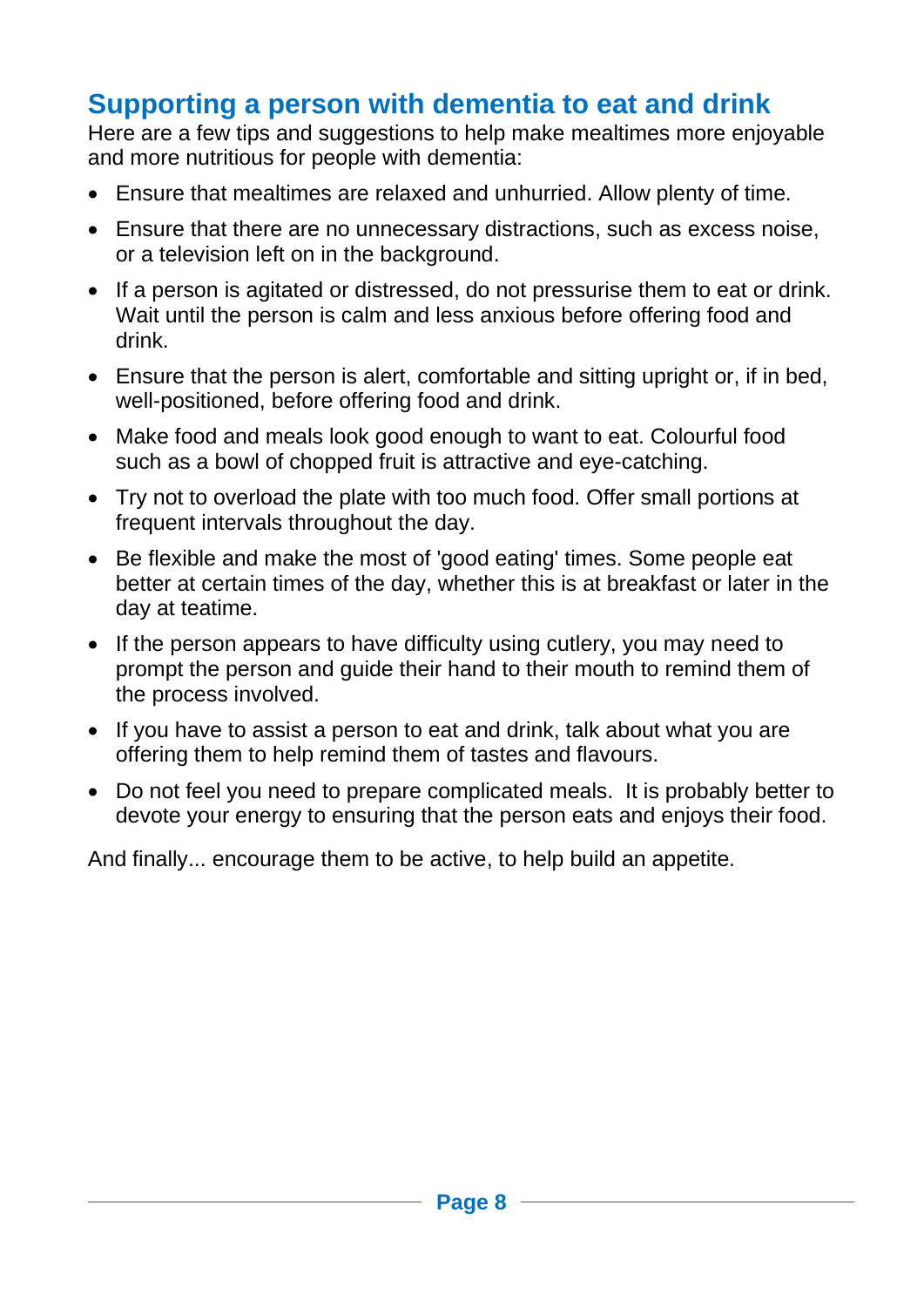# **Supporting a person with dementia to eat and drink**

Here are a few tips and suggestions to help make mealtimes more enjoyable and more nutritious for people with dementia:

- Ensure that mealtimes are relaxed and unhurried. Allow plenty of time.
- Ensure that there are no unnecessary distractions, such as excess noise, or a television left on in the background.
- If a person is agitated or distressed, do not pressurise them to eat or drink. Wait until the person is calm and less anxious before offering food and drink.
- Ensure that the person is alert, comfortable and sitting upright or, if in bed, well-positioned, before offering food and drink.
- Make food and meals look good enough to want to eat. Colourful food such as a bowl of chopped fruit is attractive and eye-catching.
- Try not to overload the plate with too much food. Offer small portions at frequent intervals throughout the day.
- Be flexible and make the most of 'good eating' times. Some people eat better at certain times of the day, whether this is at breakfast or later in the day at teatime.
- If the person appears to have difficulty using cutlery, you may need to prompt the person and guide their hand to their mouth to remind them of the process involved.
- If you have to assist a person to eat and drink, talk about what you are offering them to help remind them of tastes and flavours.
- Do not feel you need to prepare complicated meals. It is probably better to devote your energy to ensuring that the person eats and enjoys their food.

And finally... encourage them to be active, to help build an appetite.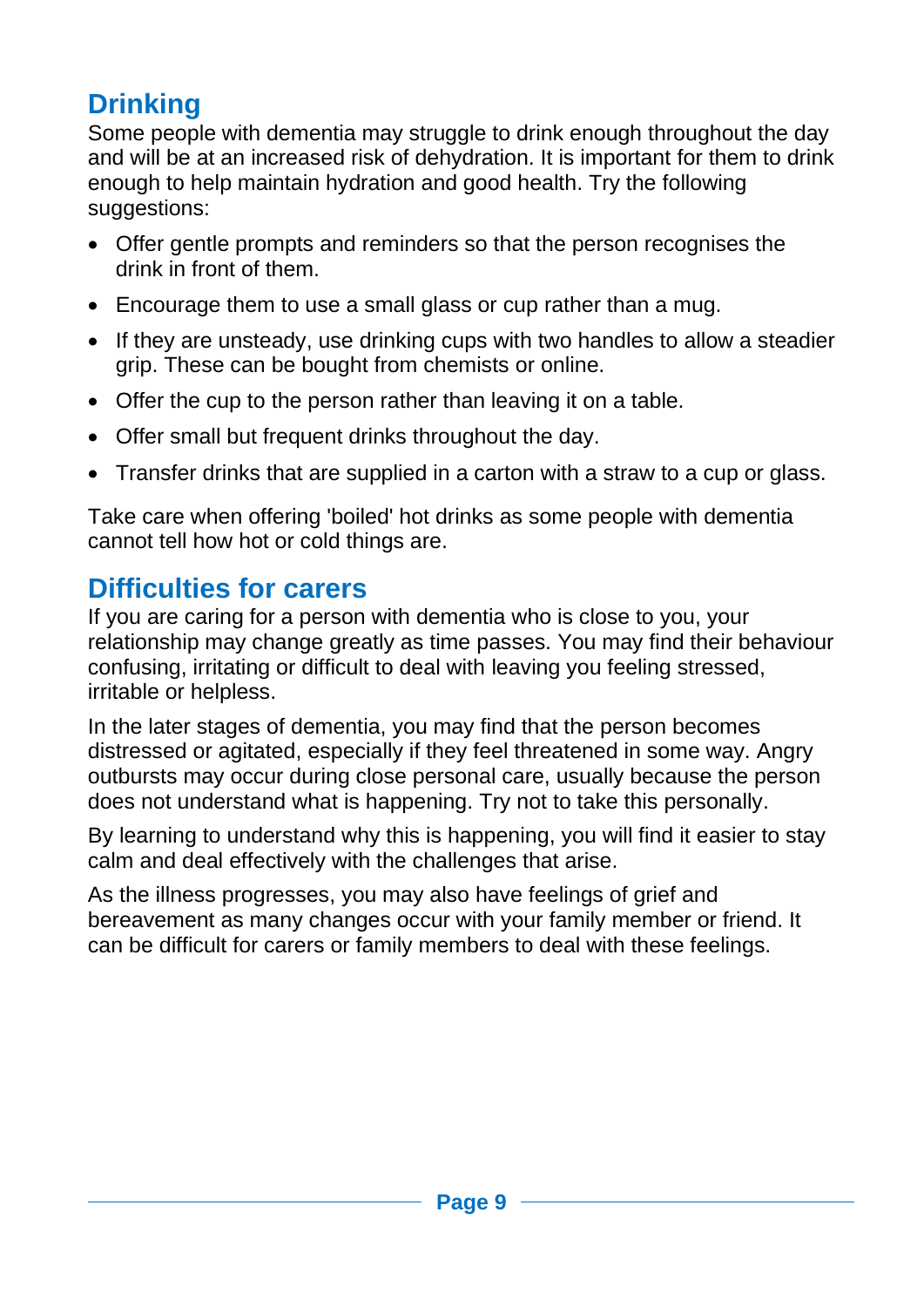# **Drinking**

Some people with dementia may struggle to drink enough throughout the day and will be at an increased risk of dehydration. It is important for them to drink enough to help maintain hydration and good health. Try the following suggestions:

- Offer gentle prompts and reminders so that the person recognises the drink in front of them.
- Encourage them to use a small glass or cup rather than a mug.
- If they are unsteady, use drinking cups with two handles to allow a steadier grip. These can be bought from chemists or online.
- Offer the cup to the person rather than leaving it on a table.
- Offer small but frequent drinks throughout the day.
- Transfer drinks that are supplied in a carton with a straw to a cup or glass.

Take care when offering 'boiled' hot drinks as some people with dementia cannot tell how hot or cold things are.

# **Difficulties for carers**

If you are caring for a person with dementia who is close to you, your relationship may change greatly as time passes. You may find their behaviour confusing, irritating or difficult to deal with leaving you feeling stressed, irritable or helpless.

In the later stages of dementia, you may find that the person becomes distressed or agitated, especially if they feel threatened in some way. Angry outbursts may occur during close personal care, usually because the person does not understand what is happening. Try not to take this personally.

By learning to understand why this is happening, you will find it easier to stay calm and deal effectively with the challenges that arise.

As the illness progresses, you may also have feelings of grief and bereavement as many changes occur with your family member or friend. It can be difficult for carers or family members to deal with these feelings.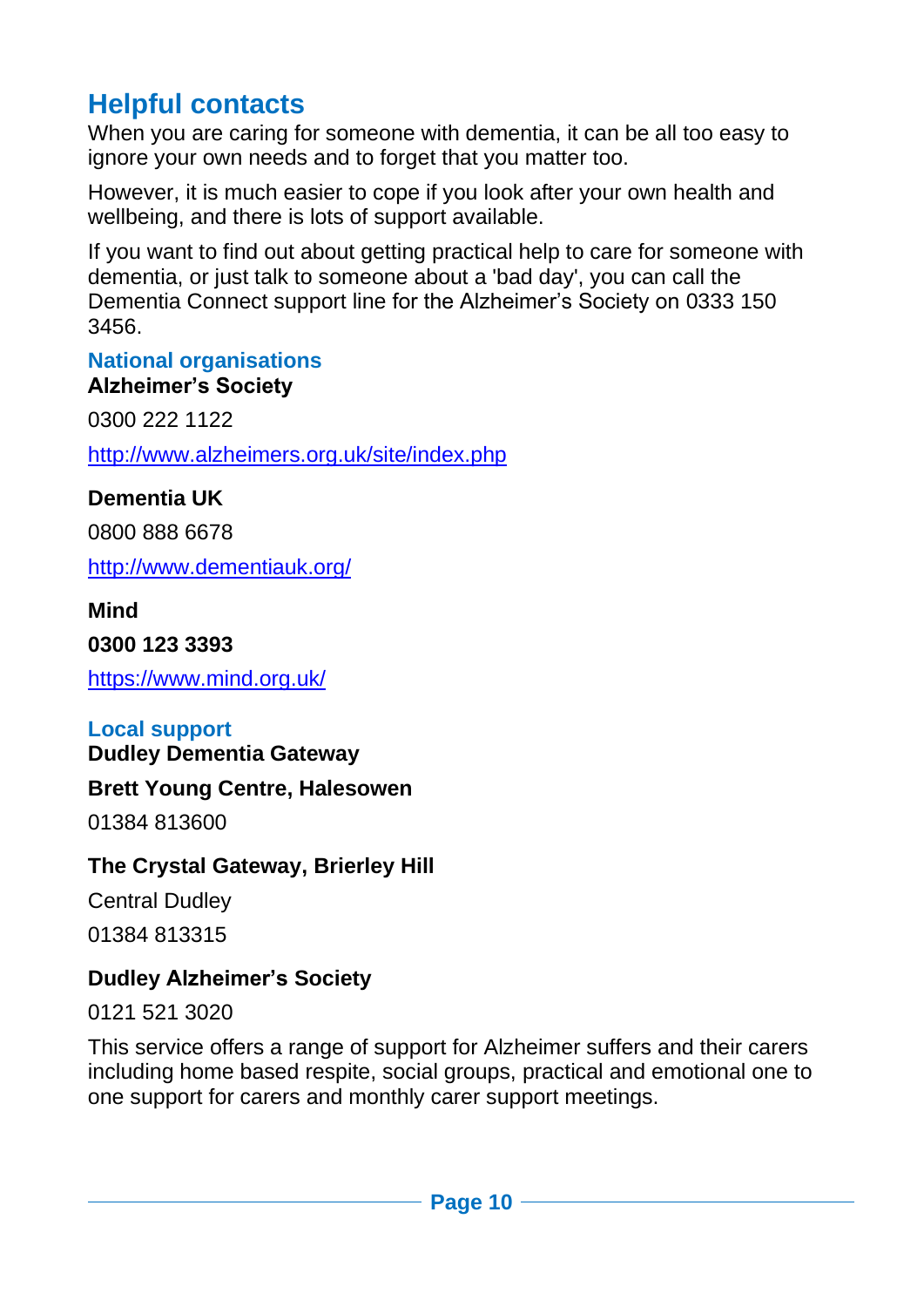# **Helpful contacts**

When you are caring for someone with dementia, it can be all too easy to ignore your own needs and to forget that you matter too.

However, it is much easier to cope if you look after your own health and wellbeing, and there is lots of support available.

If you want to find out about getting practical help to care for someone with dementia, or just talk to someone about a 'bad day', you can call the Dementia Connect support line for the Alzheimer's Society on 0333 150 3456.

### **National organisations**

#### **Alzheimer's Society**

0300 222 1122 <http://www.alzheimers.org.uk/site/index.php>

#### **Dementia UK**

0800 888 6678

<http://www.dementiauk.org/>

#### **Mind**

**0300 123 3393**

<https://www.mind.org.uk/>

#### **Local support**

**Dudley Dementia Gateway**

#### **Brett Young Centre, Halesowen**

01384 813600

#### **The Crystal Gateway, Brierley Hill**

Central Dudley

01384 813315

#### **Dudley Alzheimer's Society**

0121 521 3020

This service offers a range of support for Alzheimer suffers and their carers including home based respite, social groups, practical and emotional one to one support for carers and monthly carer support meetings.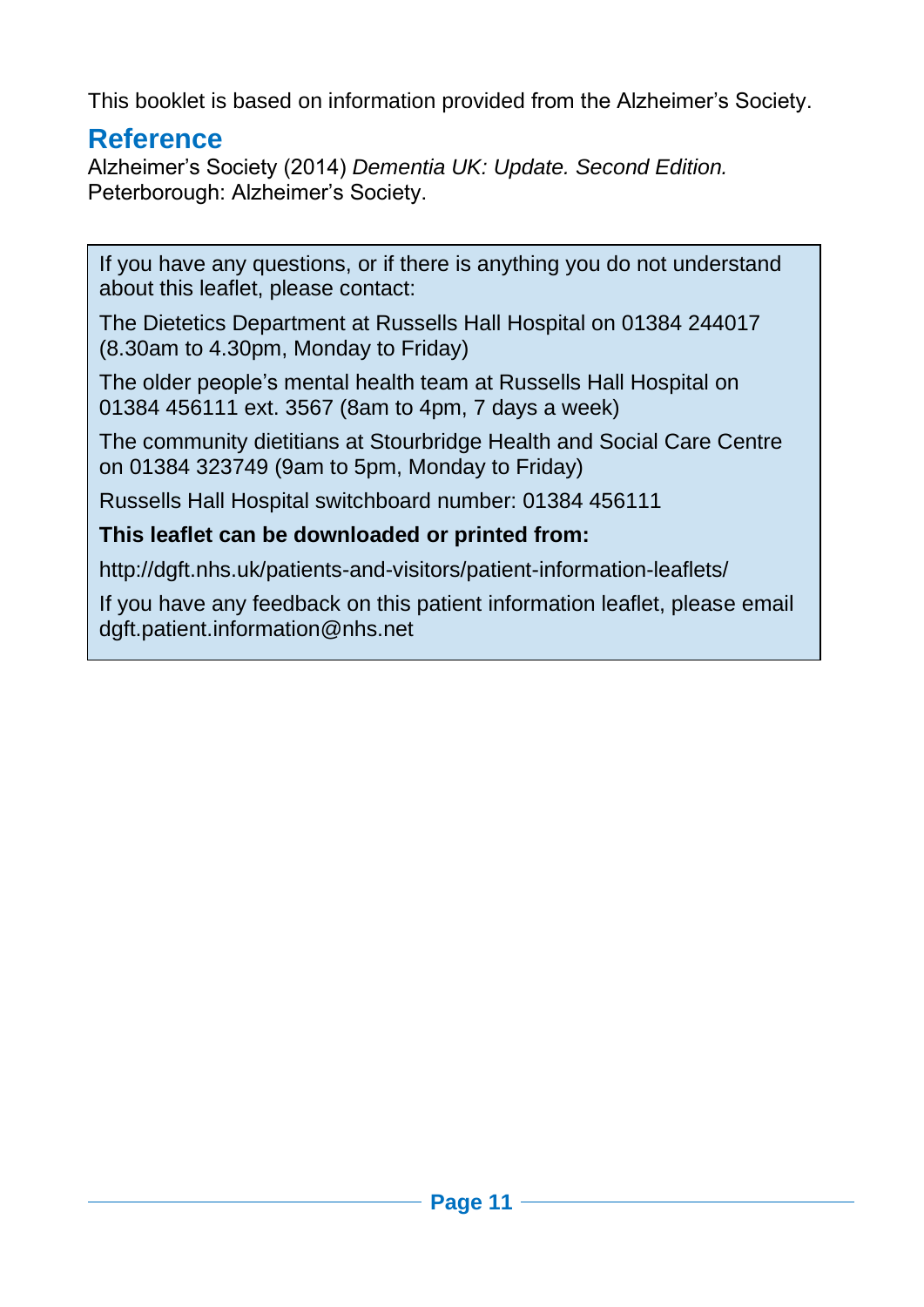This booklet is based on information provided from the Alzheimer's Society.

#### **Reference**

Alzheimer's Society (2014) *Dementia UK: Update. Second Edition.*  Peterborough: Alzheimer's Society.

If you have any questions, or if there is anything you do not understand about this leaflet, please contact:

The Dietetics Department at Russells Hall Hospital on 01384 244017 (8.30am to 4.30pm, Monday to Friday)

The older people's mental health team at Russells Hall Hospital on 01384 456111 ext. 3567 (8am to 4pm, 7 days a week)

The community dietitians at Stourbridge Health and Social Care Centre on 01384 323749 (9am to 5pm, Monday to Friday)

Russells Hall Hospital switchboard number: 01384 456111

#### **This leaflet can be downloaded or printed from:**

http://dgft.nhs.uk/patients-and-visitors/patient-information-leaflets/

If you have any feedback on this patient information leaflet, please email dgft.patient.information@nhs.net